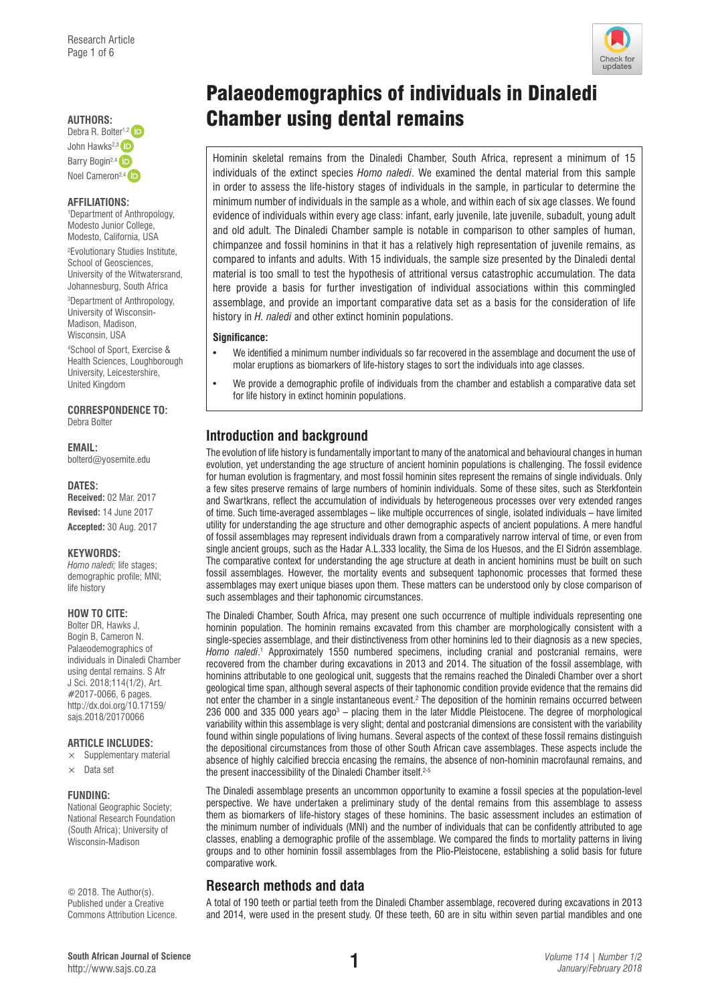

#### **AFFILIATIONS:**

1 Department of Anthropology, Modesto Junior College, Modesto, California, USA

2 Evolutionary Studies Institute, School of Geosciences, University of the Witwatersrand, Johannesburg, South Africa

3 Department of Anthropology, University of Wisconsin-Madison, Madison, Wisconsin, USA

4 School of Sport, Exercise & Health Sciences, Loughborough University, Leicestershire, United Kingdom

**CORRESPONDENCE TO:**  Debra Bolter

#### **EMAIL:**

[bolterd@yosemite.edu](mailto:bolterd@yosemite.edu)

#### **DATES:**

**Received:** 02 Mar. 2017 **Revised:** 14 June 2017 **Accepted:** 30 Aug. 2017

#### **KEYWORDS:**

*Homo naledi;* life stages; demographic profile; MNI; life history

#### **HOW TO CITE:**

Bolter DR, Hawks J, Bogin B, Cameron N. Palaeodemographics of individuals in Dinaledi Chamber using dental remains. S Afr J Sci. 2018;114(1/2), Art. #2017-0066, 6 pages. [http://dx.doi.org/10.17159/](http://dx.doi.org/10.17159/sajs.2018/20170066) [sajs.2018/20170066](http://dx.doi.org/10.17159/sajs.2018/20170066)

#### **ARTICLE INCLUDES:**

- $\times$  Supplementary material
- $\times$  Data set

#### **FUNDING:**

National Geographic Society; National Research Foundation (South Africa); University of Wisconsin-Madison

© 2018. The Author(s). Published under a Creative Commons Attribution Licence.

# Palaeodemographics of individuals in Dinaledi AUTHORS: **Chamber using dental remains** Debra R. Bolter<sup>1,2</sup>

Hominin skeletal remains from the Dinaledi Chamber, South Africa, represent a minimum of 15 individuals of the extinct species *Homo naledi*. We examined the dental material from this sample in order to assess the life-history stages of individuals in the sample, in particular to determine the minimum number of individuals in the sample as a whole, and within each of six age classes. We found evidence of individuals within every age class: infant, early juvenile, late juvenile, subadult, young adult and old adult. The Dinaledi Chamber sample is notable in comparison to other samples of human, chimpanzee and fossil hominins in that it has a relatively high representation of juvenile remains, as compared to infants and adults. With 15 individuals, the sample size presented by the Dinaledi dental material is too small to test the hypothesis of attritional versus catastrophic accumulation. The data here provide a basis for further investigation of individual associations within this commingled assemblage, and provide an important comparative data set as a basis for the consideration of life history in *H. naledi* and other extinct hominin populations.

#### **Significance:**

- We identified a minimum number individuals so far recovered in the assemblage and document the use of molar eruptions as biomarkers of life-history stages to sort the individuals into age classes.
- We provide a demographic profile of individuals from the chamber and establish a comparative data set for life history in extinct hominin populations.

# **Introduction and background**

The evolution of life history is fundamentally important to many of the anatomical and behavioural changes in human evolution, yet understanding the age structure of ancient hominin populations is challenging. The fossil evidence for human evolution is fragmentary, and most fossil hominin sites represent the remains of single individuals. Only a few sites preserve remains of large numbers of hominin individuals. Some of these sites, such as Sterkfontein and Swartkrans, reflect the accumulation of individuals by heterogeneous processes over very extended ranges of time. Such time-averaged assemblages – like multiple occurrences of single, isolated individuals – have limited utility for understanding the age structure and other demographic aspects of ancient populations. A mere handful of fossil assemblages may represent individuals drawn from a comparatively narrow interval of time, or even from single ancient groups, such as the Hadar A.L.333 locality, the Sima de los Huesos, and the El Sidrón assemblage. The comparative context for understanding the age structure at death in ancient hominins must be built on such fossil assemblages. However, the mortality events and subsequent taphonomic processes that formed these assemblages may exert unique biases upon them. These matters can be understood only by close comparison of such assemblages and their taphonomic circumstances.

The Dinaledi Chamber, South Africa, may present one such occurrence of multiple individuals representing one hominin population. The hominin remains excavated from this chamber are morphologically consistent with a single-species assemblage, and their distinctiveness from other hominins led to their diagnosis as a new species, *Homo naledi*. 1 Approximately 1550 numbered specimens, including cranial and postcranial remains, were recovered from the chamber during excavations in 2013 and 2014. The situation of the fossil assemblage, with hominins attributable to one geological unit, suggests that the remains reached the Dinaledi Chamber over a short geological time span, although several aspects of their taphonomic condition provide evidence that the remains did not enter the chamber in a single instantaneous event.<sup>2</sup> The deposition of the hominin remains occurred between 236 000 and 335 000 years ago<sup>3</sup> – placing them in the later Middle Pleistocene. The degree of morphological variability within this assemblage is very slight; dental and postcranial dimensions are consistent with the variability found within single populations of living humans. Several aspects of the context of these fossil remains distinguish the depositional circumstances from those of other South African cave assemblages. These aspects include the absence of highly calcified breccia encasing the remains, the absence of non-hominin macrofaunal remains, and the present inaccessibility of the Dinaledi Chamber itself.<sup>2-5</sup>

The Dinaledi assemblage presents an uncommon opportunity to examine a fossil species at the population-level perspective. We have undertaken a preliminary study of the dental remains from this assemblage to assess them as biomarkers of life-history stages of these hominins. The basic assessment includes an estimation of the minimum number of individuals (MNI) and the number of individuals that can be confidently attributed to age classes, enabling a demographic profile of the assemblage. We compared the finds to mortality patterns in living groups and to other hominin fossil assemblages from the Plio-Pleistocene, establishing a solid basis for future comparative work.

# **Research methods and data**

A total of 190 teeth or partial teeth from the Dinaledi Chamber assemblage, recovered during excavations in 2013 and 2014, were used in the present study. Of these teeth, 60 are in situ within seven partial mandibles and one

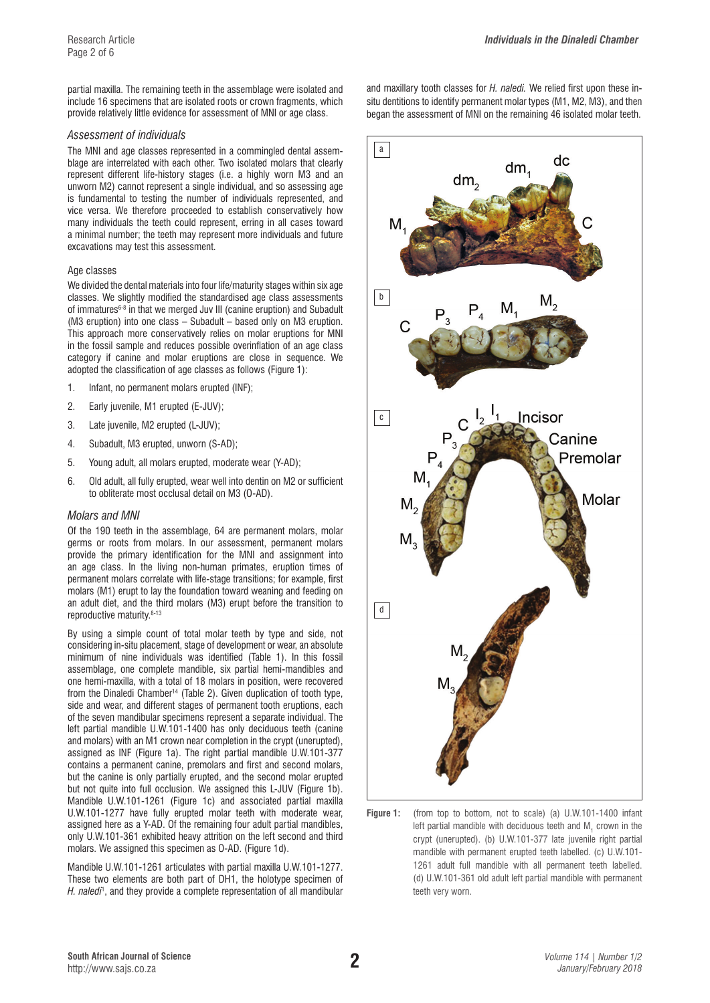partial maxilla. The remaining teeth in the assemblage were isolated and include 16 specimens that are isolated roots or crown fragments, which provide relatively little evidence for assessment of MNI or age class.

#### *Assessment of individuals*

The MNI and age classes represented in a commingled dental assemblage are interrelated with each other. Two isolated molars that clearly represent different life-history stages (i.e. a highly worn M3 and an unworn M2) cannot represent a single individual, and so assessing age is fundamental to testing the number of individuals represented, and vice versa. We therefore proceeded to establish conservatively how many individuals the teeth could represent, erring in all cases toward a minimal number; the teeth may represent more individuals and future excavations may test this assessment.

#### Age classes

We divided the dental materials into four life/maturity stages within six age classes. We slightly modified the standardised age class assessments of immatures<sup>6-8</sup> in that we merged Juv III (canine eruption) and Subadult (M3 eruption) into one class – Subadult – based only on M3 eruption. This approach more conservatively relies on molar eruptions for MNI in the fossil sample and reduces possible overinflation of an age class category if canine and molar eruptions are close in sequence. We adopted the classification of age classes as follows (Figure 1):

- 1. Infant, no permanent molars erupted (INF);
- 2. Early juvenile, M1 erupted (E-JUV);
- 3. Late juvenile, M2 erupted (L-JUV);
- 4. Subadult, M3 erupted, unworn (S-AD);
- 5. Young adult, all molars erupted, moderate wear (Y-AD);
- 6. Old adult, all fully erupted, wear well into dentin on M2 or sufficient to obliterate most occlusal detail on M3 (O-AD).

### *Molars and MNI*

Of the 190 teeth in the assemblage, 64 are permanent molars, molar germs or roots from molars. In our assessment, permanent molars provide the primary identification for the MNI and assignment into an age class. In the living non-human primates, eruption times of permanent molars correlate with life-stage transitions; for example, first molars (M1) erupt to lay the foundation toward weaning and feeding on an adult diet, and the third molars (M3) erupt before the transition to reproductive maturity.8-13

By using a simple count of total molar teeth by type and side, not considering in-situ placement, stage of development or wear, an absolute minimum of nine individuals was identified (Table 1). In this fossil assemblage, one complete mandible, six partial hemi-mandibles and one hemi-maxilla, with a total of 18 molars in position, were recovered from the Dinaledi Chamber<sup>14</sup> (Table 2). Given duplication of tooth type, side and wear, and different stages of permanent tooth eruptions, each of the seven mandibular specimens represent a separate individual. The left partial mandible U.W.101-1400 has only deciduous teeth (canine and molars) with an M1 crown near completion in the crypt (unerupted), assigned as INF (Figure 1a). The right partial mandible U.W.101-377 contains a permanent canine, premolars and first and second molars, but the canine is only partially erupted, and the second molar erupted but not quite into full occlusion. We assigned this L-JUV (Figure 1b). Mandible U.W.101-1261 (Figure 1c) and associated partial maxilla U.W.101-1277 have fully erupted molar teeth with moderate wear, assigned here as a Y-AD. Of the remaining four adult partial mandibles, only U.W.101-361 exhibited heavy attrition on the left second and third molars. We assigned this specimen as O-AD. (Figure 1d).

Mandible U.W.101-1261 articulates with partial maxilla U.W.101-1277. These two elements are both part of DH1, the holotype specimen of *H. naledi*<sup>1</sup> , and they provide a complete representation of all mandibular

and maxillary tooth classes for *H. naledi.* We relied first upon these insitu dentitions to identify permanent molar types (M1, M2, M3), and then began the assessment of MNI on the remaining 46 isolated molar teeth.



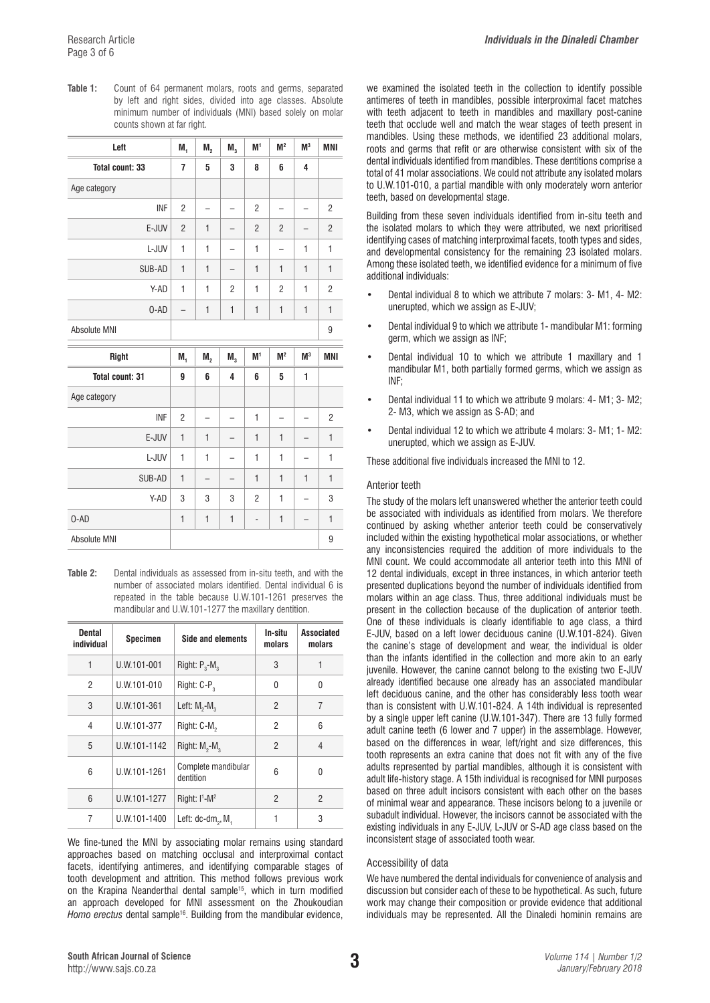| Table 1: | Count of 64 permanent molars, roots and germs, separated    |
|----------|-------------------------------------------------------------|
|          | by left and right sides, divided into age classes. Absolute |
|          | minimum number of individuals (MNI) based solely on molar   |
|          | counts shown at far right.                                  |

| Left                   | M <sub>1</sub> | M <sub>2</sub> | $M_3$          | M <sup>1</sup>               | M <sup>2</sup>           | M <sup>3</sup>           | <b>MNI</b>     |
|------------------------|----------------|----------------|----------------|------------------------------|--------------------------|--------------------------|----------------|
| <b>Total count: 33</b> | 7              | 5              | 3              | 8                            | 6                        | 4                        |                |
| Age category           |                |                |                |                              |                          |                          |                |
| <b>INF</b>             | $\overline{c}$ |                |                | $\overline{c}$               |                          |                          | $\overline{c}$ |
| E-JUV                  | $\overline{2}$ | $\mathbf{1}$   |                | $\overline{2}$               | $\overline{2}$           |                          | $\overline{2}$ |
| L-JUV                  | 1              | $\mathbf{1}$   |                | $\mathbf{1}$                 | $\overline{\phantom{0}}$ | 1                        | $\mathbf{1}$   |
| SUB-AD                 | $\mathbf{1}$   | $\mathbf{1}$   |                | $\mathbf{1}$                 | $\mathbf{1}$             | $\mathbf{1}$             | $\mathbf{1}$   |
| Y-AD                   | 1              | $\mathbf{1}$   | $\overline{2}$ | $\mathbf{1}$                 | $\overline{c}$           | 1                        | $\overline{2}$ |
| 0-AD                   |                | 1              | $\mathbf{1}$   | $\mathbf{1}$                 | $\mathbf{1}$             | $\mathbf{1}$             | $\mathbf{1}$   |
| Absolute MNI           |                |                |                |                              |                          |                          | 9              |
|                        |                |                |                |                              |                          |                          |                |
| Right                  | $M_{1}$        | M,             | M <sub>3</sub> | M <sup>1</sup>               | M <sup>2</sup>           | M <sup>3</sup>           | <b>MNI</b>     |
| <b>Total count: 31</b> | 9              | 6              | 4              | 6                            | 5                        | 1                        |                |
| Age category           |                |                |                |                              |                          |                          |                |
| <b>INF</b>             | $\overline{c}$ |                |                | $\mathbf{1}$                 |                          |                          | $\overline{c}$ |
| E-JUV                  | $\mathbf{1}$   | $\mathbf{1}$   |                | $\mathbf{1}$                 | $\mathbf{1}$             |                          | $\mathbf{1}$   |
| L-JUV                  | $\mathbf{1}$   | 1              |                | $\mathbf{1}$                 | 1                        |                          | 1              |
| SUB-AD                 | $\mathbf{1}$   |                |                | $\mathbf{1}$                 | $\mathbf{1}$             | $\mathbf{1}$             | $\mathbf{1}$   |
| Y-AD                   | 3              | 3              | 3              | $\overline{2}$               | $\mathbf{1}$             | $\overline{\phantom{0}}$ | 3              |
| $O-AD$                 | $\mathbf{1}$   | 1              | $\mathbf{1}$   | $\qquad \qquad \blacksquare$ | 1                        |                          | $\mathbf{1}$   |

**Table 2:** Dental individuals as assessed from in-situ teeth, and with the number of associated molars identified. Dental individual 6 is repeated in the table because U.W.101-1261 preserves the mandibular and U.W.101-1277 the maxillary dentition.

| Dental<br>individual | <b>Specimen</b> | Side and elements                | In-situ<br>molars | Associated<br>molars |
|----------------------|-----------------|----------------------------------|-------------------|----------------------|
| 1                    | U.W.101-001     | Right: $P_{2}$ -M <sub>2</sub>   | 3                 | 1                    |
| $\overline{2}$       | U.W.101-010     | Right: C-P <sub>2</sub>          | 0                 | 0                    |
| 3                    | U.W.101-361     | Left: $M_{2}$ - $M_{2}$          | $\overline{2}$    | 7                    |
| 4                    | U.W.101-377     | Right: C-M <sub>2</sub>          | 2                 | 6                    |
| 5                    | U.W.101-1142    | Right: $M_{2}$ - $M_{2}$         | 2                 | 4                    |
| 6                    | U.W.101-1261    | Complete mandibular<br>dentition | 6                 | 0                    |
| 6                    | U.W.101-1277    | Right: $I^1$ -M <sup>2</sup>     | 2                 | $\mathfrak{p}$       |
| 7                    | U.W.101-1400    | Left: $dc-dm2$ , M,              |                   | 3                    |

We fine-tuned the MNI by associating molar remains using standard approaches based on matching occlusal and interproximal contact facets, identifying antimeres, and identifying comparable stages of tooth development and attrition. This method follows previous work on the Krapina Neanderthal dental sample<sup>15</sup>, which in turn modified an approach developed for MNI assessment on the Zhoukoudian *Homo erectus* dental sample<sup>16</sup>. Building from the mandibular evidence, we examined the isolated teeth in the collection to identify possible antimeres of teeth in mandibles, possible interproximal facet matches with teeth adjacent to teeth in mandibles and maxillary post-canine teeth that occlude well and match the wear stages of teeth present in mandibles. Using these methods, we identified 23 additional molars, roots and germs that refit or are otherwise consistent with six of the dental individuals identified from mandibles. These dentitions comprise a total of 41 molar associations. We could not attribute any isolated molars to U.W.101-010, a partial mandible with only moderately worn anterior teeth, based on developmental stage.

Building from these seven individuals identified from in-situ teeth and the isolated molars to which they were attributed, we next prioritised identifying cases of matching interproximal facets, tooth types and sides, and developmental consistency for the remaining 23 isolated molars. Among these isolated teeth, we identified evidence for a minimum of five additional individuals:

- Dental individual 8 to which we attribute 7 molars: 3- M1, 4- M2: unerupted, which we assign as E-JUV;
- Dental individual 9 to which we attribute 1- mandibular M1: forming germ, which we assign as INF;
- Dental individual 10 to which we attribute 1 maxillary and 1 mandibular M1, both partially formed germs, which we assign as INF;
- Dental individual 11 to which we attribute 9 molars: 4- M1; 3- M2; 2- M3, which we assign as S-AD; and
- Dental individual 12 to which we attribute 4 molars: 3- M1; 1- M2: unerupted, which we assign as E-JUV.

These additional five individuals increased the MNI to 12.

#### Anterior teeth

The study of the molars left unanswered whether the anterior teeth could be associated with individuals as identified from molars. We therefore continued by asking whether anterior teeth could be conservatively included within the existing hypothetical molar associations, or whether any inconsistencies required the addition of more individuals to the MNI count. We could accommodate all anterior teeth into this MNI of 12 dental individuals, except in three instances, in which anterior teeth presented duplications beyond the number of individuals identified from molars within an age class. Thus, three additional individuals must be present in the collection because of the duplication of anterior teeth. One of these individuals is clearly identifiable to age class, a third E-JUV, based on a left lower deciduous canine (U.W.101-824). Given the canine's stage of development and wear, the individual is older than the infants identified in the collection and more akin to an early juvenile. However, the canine cannot belong to the existing two E-JUV already identified because one already has an associated mandibular left deciduous canine, and the other has considerably less tooth wear than is consistent with U.W.101-824. A 14th individual is represented by a single upper left canine (U.W.101-347). There are 13 fully formed adult canine teeth (6 lower and 7 upper) in the assemblage. However, based on the differences in wear, left/right and size differences, this tooth represents an extra canine that does not fit with any of the five adults represented by partial mandibles, although it is consistent with adult life-history stage. A 15th individual is recognised for MNI purposes based on three adult incisors consistent with each other on the bases of minimal wear and appearance. These incisors belong to a juvenile or subadult individual. However, the incisors cannot be associated with the existing individuals in any E-JUV, L-JUV or S-AD age class based on the inconsistent stage of associated tooth wear.

#### Accessibility of data

We have numbered the dental individuals for convenience of analysis and discussion but consider each of these to be hypothetical. As such, future work may change their composition or provide evidence that additional individuals may be represented. All the Dinaledi hominin remains are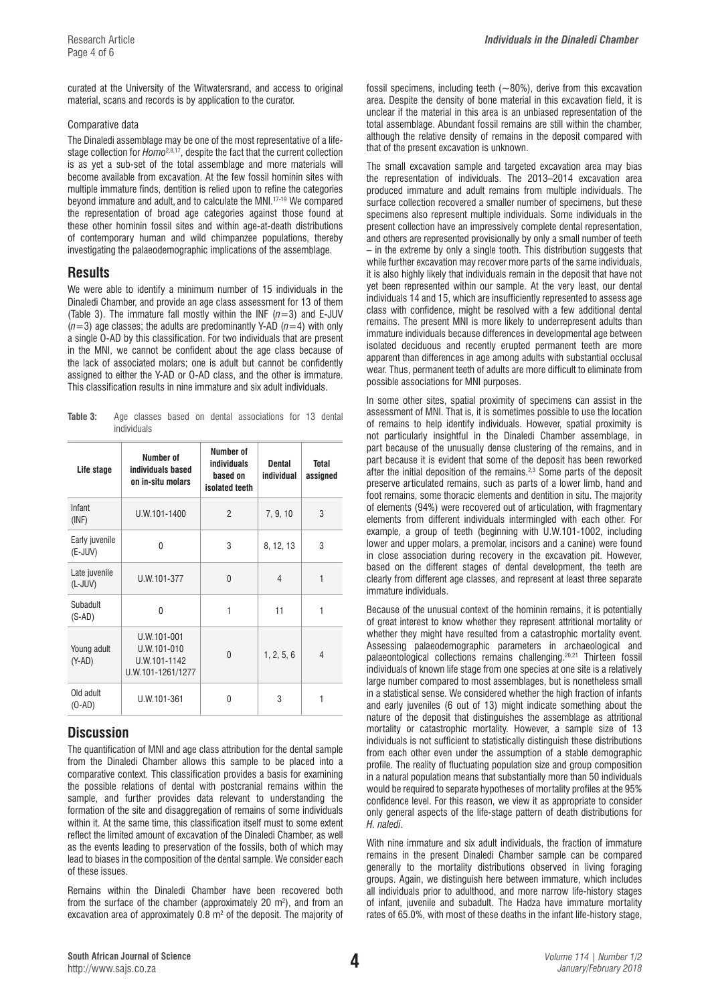curated at the University of the Witwatersrand, and access to original material, scans and records is by application to the curator.

#### Comparative data

The Dinaledi assemblage may be one of the most representative of a lifestage collection for *Homo*2,8,17, despite the fact that the current collection is as yet a sub-set of the total assemblage and more materials will become available from excavation. At the few fossil hominin sites with multiple immature finds, dentition is relied upon to refine the categories beyond immature and adult, and to calculate the MNI.17-19 We compared the representation of broad age categories against those found at these other hominin fossil sites and within age-at-death distributions of contemporary human and wild chimpanzee populations, thereby investigating the palaeodemographic implications of the assemblage.

# **Results**

We were able to identify a minimum number of 15 individuals in the Dinaledi Chamber, and provide an age class assessment for 13 of them (Table 3). The immature fall mostly within the INF (*n*=3) and E-JUV  $(n=3)$  age classes; the adults are predominantly Y-AD  $(n=4)$  with only a single O-AD by this classification. For two individuals that are present in the MNI, we cannot be confident about the age class because of the lack of associated molars; one is adult but cannot be confidently assigned to either the Y-AD or O-AD class, and the other is immature. This classification results in nine immature and six adult individuals.

**Table 3:** Age classes based on dental associations for 13 dental individuals

| Life stage                | Number of<br>individuals based<br>on in-situ molars             | Number of<br>individuals<br>based on<br>isolated teeth | Dental<br>individual | Total<br>assigned |
|---------------------------|-----------------------------------------------------------------|--------------------------------------------------------|----------------------|-------------------|
| Infant<br>(INF)           | U.W.101-1400                                                    | $\mathfrak{p}$                                         | 7, 9, 10             | 3                 |
| Early juvenile<br>(E-JUV) | $\Omega$                                                        | 3                                                      | 8, 12, 13            | 3                 |
| Late juvenile<br>(L-JUV)  | U.W.101-377                                                     | $\Omega$                                               | $\overline{4}$       | 1                 |
| Subadult<br>$(S-AD)$      | $\Omega$                                                        | 1                                                      | 11                   | 1                 |
| Young adult<br>(Y-AD)     | U.W.101-001<br>U.W.101-010<br>U.W.101-1142<br>U.W.101-1261/1277 | $\Omega$                                               | 1, 2, 5, 6           | $\overline{4}$    |
| Old adult<br>$(O-AD)$     | U.W.101-361                                                     | $\Omega$                                               | 3                    | 1                 |

# **Discussion**

The quantification of MNI and age class attribution for the dental sample from the Dinaledi Chamber allows this sample to be placed into a comparative context. This classification provides a basis for examining the possible relations of dental with postcranial remains within the sample, and further provides data relevant to understanding the formation of the site and disaggregation of remains of some individuals within it. At the same time, this classification itself must to some extent reflect the limited amount of excavation of the Dinaledi Chamber, as well as the events leading to preservation of the fossils, both of which may lead to biases in the composition of the dental sample. We consider each of these issues.

Remains within the Dinaledi Chamber have been recovered both from the surface of the chamber (approximately 20  $m^2$ ), and from an excavation area of approximately 0.8  $m^2$  of the deposit. The majority of fossil specimens, including teeth  $(-80%)$ , derive from this excavation area. Despite the density of bone material in this excavation field, it is unclear if the material in this area is an unbiased representation of the total assemblage. Abundant fossil remains are still within the chamber, although the relative density of remains in the deposit compared with that of the present excavation is unknown.

The small excavation sample and targeted excavation area may bias the representation of individuals. The 2013–2014 excavation area produced immature and adult remains from multiple individuals. The surface collection recovered a smaller number of specimens, but these specimens also represent multiple individuals. Some individuals in the present collection have an impressively complete dental representation, and others are represented provisionally by only a small number of teeth – in the extreme by only a single tooth. This distribution suggests that while further excavation may recover more parts of the same individuals, it is also highly likely that individuals remain in the deposit that have not yet been represented within our sample. At the very least, our dental individuals 14 and 15, which are insufficiently represented to assess age class with confidence, might be resolved with a few additional dental remains. The present MNI is more likely to underrepresent adults than immature individuals because differences in developmental age between isolated deciduous and recently erupted permanent teeth are more apparent than differences in age among adults with substantial occlusal wear. Thus, permanent teeth of adults are more difficult to eliminate from possible associations for MNI purposes.

In some other sites, spatial proximity of specimens can assist in the assessment of MNI. That is, it is sometimes possible to use the location of remains to help identify individuals. However, spatial proximity is not particularly insightful in the Dinaledi Chamber assemblage, in part because of the unusually dense clustering of the remains, and in part because it is evident that some of the deposit has been reworked after the initial deposition of the remains.2,3 Some parts of the deposit preserve articulated remains, such as parts of a lower limb, hand and foot remains, some thoracic elements and dentition in situ. The majority of elements (94%) were recovered out of articulation, with fragmentary elements from different individuals intermingled with each other. For example, a group of teeth (beginning with U.W.101-1002, including lower and upper molars, a premolar, incisors and a canine) were found in close association during recovery in the excavation pit. However, based on the different stages of dental development, the teeth are clearly from different age classes, and represent at least three separate immature individuals.

Because of the unusual context of the hominin remains, it is potentially of great interest to know whether they represent attritional mortality or whether they might have resulted from a catastrophic mortality event. Assessing palaeodemographic parameters in archaeological and palaeontological collections remains challenging.20,21 Thirteen fossil individuals of known life stage from one species at one site is a relatively large number compared to most assemblages, but is nonetheless small in a statistical sense. We considered whether the high fraction of infants and early juveniles (6 out of 13) might indicate something about the nature of the deposit that distinguishes the assemblage as attritional mortality or catastrophic mortality. However, a sample size of 13 individuals is not sufficient to statistically distinguish these distributions from each other even under the assumption of a stable demographic profile. The reality of fluctuating population size and group composition in a natural population means that substantially more than 50 individuals would be required to separate hypotheses of mortality profiles at the 95% confidence level. For this reason, we view it as appropriate to consider only general aspects of the life-stage pattern of death distributions for *H. naledi*.

With nine immature and six adult individuals, the fraction of immature remains in the present Dinaledi Chamber sample can be compared generally to the mortality distributions observed in living foraging groups. Again, we distinguish here between immature, which includes all individuals prior to adulthood, and more narrow life-history stages of infant, juvenile and subadult. The Hadza have immature mortality rates of 65.0%, with most of these deaths in the infant life-history stage,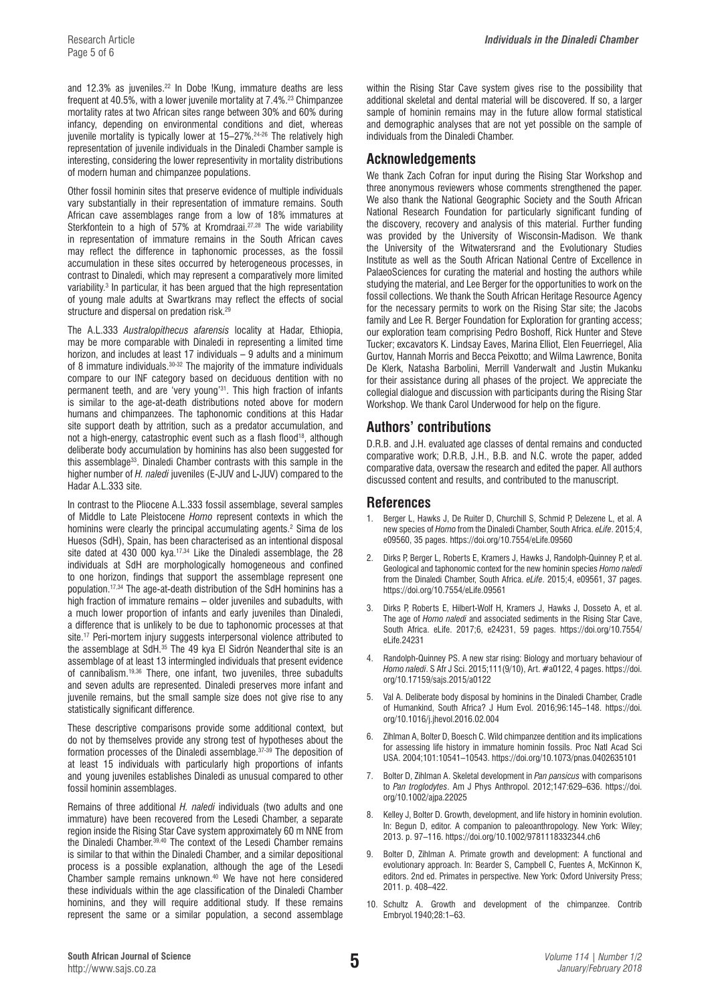and 12.3% as juveniles.<sup>22</sup> In Dobe !Kung, immature deaths are less frequent at 40.5%, with a lower juvenile mortality at 7.4%.23 Chimpanzee mortality rates at two African sites range between 30% and 60% during infancy, depending on environmental conditions and diet, whereas juvenile mortality is typically lower at 15-27%.<sup>24-26</sup> The relatively high representation of juvenile individuals in the Dinaledi Chamber sample is interesting, considering the lower representivity in mortality distributions of modern human and chimpanzee populations.

Other fossil hominin sites that preserve evidence of multiple individuals vary substantially in their representation of immature remains. South African cave assemblages range from a low of 18% immatures at Sterkfontein to a high of 57% at Kromdraai.<sup>27,28</sup> The wide variability in representation of immature remains in the South African caves may reflect the difference in taphonomic processes, as the fossil accumulation in these sites occurred by heterogeneous processes, in contrast to Dinaledi, which may represent a comparatively more limited variability.3 In particular, it has been argued that the high representation of young male adults at Swartkrans may reflect the effects of social structure and dispersal on predation risk.<sup>29</sup>

The A.L.333 *Australopithecus afarensis* locality at Hadar, Ethiopia, may be more comparable with Dinaledi in representing a limited time horizon, and includes at least 17 individuals – 9 adults and a minimum of 8 immature individuals.30-32 The majority of the immature individuals compare to our INF category based on deciduous dentition with no permanent teeth, and are 'very young'31. This high fraction of infants is similar to the age-at-death distributions noted above for modern humans and chimpanzees. The taphonomic conditions at this Hadar site support death by attrition, such as a predator accumulation, and not a high-energy, catastrophic event such as a flash flood<sup>18</sup>, although deliberate body accumulation by hominins has also been suggested for this assemblage33. Dinaledi Chamber contrasts with this sample in the higher number of *H. naledi* juveniles (E-JUV and L-JUV) compared to the Hadar A.L.333 site.

In contrast to the Pliocene A.L.333 fossil assemblage, several samples of Middle to Late Pleistocene *Homo* represent contexts in which the hominins were clearly the principal accumulating agents.<sup>2</sup> Sima de los Huesos (SdH), Spain, has been characterised as an intentional disposal site dated at 430 000 kya.17,34 Like the Dinaledi assemblage, the 28 individuals at SdH are morphologically homogeneous and confined to one horizon, findings that support the assemblage represent one population.17,34 The age-at-death distribution of the SdH hominins has a high fraction of immature remains – older juveniles and subadults, with a much lower proportion of infants and early juveniles than Dinaledi, a difference that is unlikely to be due to taphonomic processes at that site.<sup>17</sup> Peri-mortem injury suggests interpersonal violence attributed to the assemblage at SdH.<sup>35</sup> The 49 kya El Sidrón Neanderthal site is an assemblage of at least 13 intermingled individuals that present evidence of cannibalism.19,36 There, one infant, two juveniles, three subadults and seven adults are represented. Dinaledi preserves more infant and juvenile remains, but the small sample size does not give rise to any statistically significant difference.

These descriptive comparisons provide some additional context, but do not by themselves provide any strong test of hypotheses about the formation processes of the Dinaledi assemblage.37-39 The deposition of at least 15 individuals with particularly high proportions of infants and young juveniles establishes Dinaledi as unusual compared to other fossil hominin assemblages.

Remains of three additional *H. naledi* individuals (two adults and one immature) have been recovered from the Lesedi Chamber, a separate region inside the Rising Star Cave system approximately 60 m NNE from the Dinaledi Chamber.39,40 The context of the Lesedi Chamber remains is similar to that within the Dinaledi Chamber, and a similar depositional process is a possible explanation, although the age of the Lesedi Chamber sample remains unknown.40 We have not here considered these individuals within the age classification of the Dinaledi Chamber hominins, and they will require additional study. If these remains represent the same or a similar population, a second assemblage

within the Rising Star Cave system gives rise to the possibility that additional skeletal and dental material will be discovered. If so, a larger sample of hominin remains may in the future allow formal statistical and demographic analyses that are not yet possible on the sample of individuals from the Dinaledi Chamber.

# **Acknowledgements**

We thank Zach Cofran for input during the Rising Star Workshop and three anonymous reviewers whose comments strengthened the paper. We also thank the National Geographic Society and the South African National Research Foundation for particularly significant funding of the discovery, recovery and analysis of this material. Further funding was provided by the University of Wisconsin-Madison. We thank the University of the Witwatersrand and the Evolutionary Studies Institute as well as the South African National Centre of Excellence in PalaeoSciences for curating the material and hosting the authors while studying the material, and Lee Berger for the opportunities to work on the fossil collections. We thank the South African Heritage Resource Agency for the necessary permits to work on the Rising Star site; the Jacobs family and Lee R. Berger Foundation for Exploration for granting access; our exploration team comprising Pedro Boshoff, Rick Hunter and Steve Tucker; excavators K. Lindsay Eaves, Marina Elliot, Elen Feuerriegel, Alia Gurtov, Hannah Morris and Becca Peixotto; and Wilma Lawrence, Bonita De Klerk, Natasha Barbolini, Merrill Vanderwalt and Justin Mukanku for their assistance during all phases of the project. We appreciate the collegial dialogue and discussion with participants during the Rising Star Workshop. We thank Carol Underwood for help on the figure.

# **Authors' contributions**

D.R.B. and J.H. evaluated age classes of dental remains and conducted comparative work; D.R.B, J.H., B.B. and N.C. wrote the paper, added comparative data, oversaw the research and edited the paper. All authors discussed content and results, and contributed to the manuscript.

## **References**

- 1. Berger L, Hawks J, De Ruiter D, Churchill S, Schmid P, Delezene L, et al. A new species of *Homo* from the Dinaledi Chamber, South Africa. *eLife*. 2015;4, e09560, 35 pages.<https://doi.org/10.7554/eLife.09560>
- 2. Dirks P, Berger L, Roberts E, Kramers J, Hawks J, Randolph-Quinney P, et al. Geological and taphonomic context for the new hominin species *Homo naledi* from the Dinaledi Chamber, South Africa. *eLife*. 2015;4, e09561, 37 pages. <https://doi.org/10.7554/eLife.09561>
- 3. Dirks P, Roberts E, Hilbert-Wolf H, Kramers J, Hawks J, Dosseto A, et al. The age of *Homo naledi* and associated sediments in the Rising Star Cave, South Africa. eLife. 2017;6, e24231, 59 pages. [https://doi.org/10.7554/](https://doi.org/10.7554/eLife.24231) [eLife.24231](https://doi.org/10.7554/eLife.24231)
- 4. Randolph-Quinney PS. A new star rising: Biology and mortuary behaviour of *Homo naledi*. S Afr J Sci. 2015;111(9/10), Art. #a0122, 4 pages. [https://doi.](https://doi.org/10.17159/sajs.2015/a0122) [org/10.17159/sajs.2015/a0122](https://doi.org/10.17159/sajs.2015/a0122)
- 5. Val A. Deliberate body disposal by hominins in the Dinaledi Chamber, Cradle of Humankind, South Africa? J Hum Evol. 2016;96:145–148. [https://doi.](https://doi.org/10.1016/j.jhevol.2016.02.004) [org/10.1016/j.jhevol.2016.02.004](https://doi.org/10.1016/j.jhevol.2016.02.004)
- 6. Zihlman A, Bolter D, Boesch C. Wild chimpanzee dentition and its implications for assessing life history in immature hominin fossils. Proc Natl Acad Sci USA. 2004;101:10541–10543. <https://doi.org/10.1073/pnas.0402635101>
- 7. Bolter D, Zihlman A. Skeletal development in *Pan pansicus* with comparisons to *Pan troglodytes*. Am J Phys Anthropol. 2012;147:629–636. [https://doi.](https://doi.org/10.1002/ajpa.22025) [org/10.1002/ajpa.22025](https://doi.org/10.1002/ajpa.22025)
- 8. Kelley J, Bolter D. Growth, development, and life history in hominin evolution. In: Begun D, editor. A companion to paleoanthropology. New York: Wiley; 2013. p. 97–116. <https://doi.org/10.1002/9781118332344.ch6>
- 9. Bolter D, Zihlman A. Primate growth and development: A functional and evolutionary approach. In: Bearder S, Campbell C, Fuentes A, McKinnon K, editors. 2nd ed. Primates in perspective. New York: Oxford University Press; 2011. p. 408–422.
- 10. Schultz A. Growth and development of the chimpanzee. Contrib Embryol*.*1940;28:1–63.